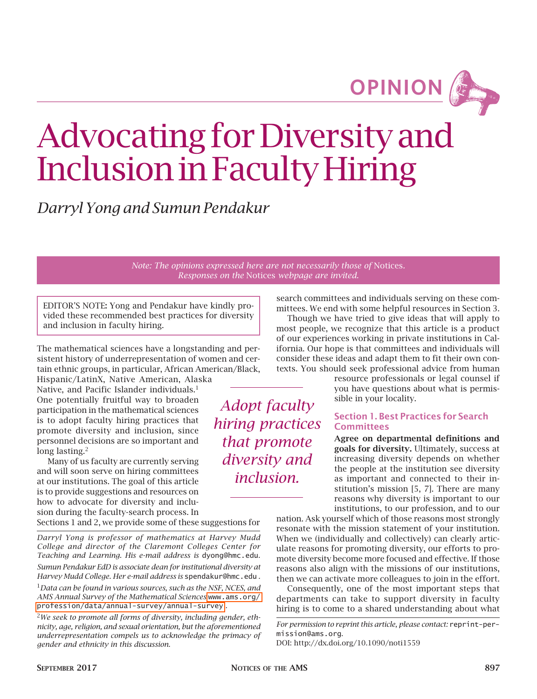**OPINION**

# Advocating for Diversity and Inclusion in Faculty Hiring

*Darryl Yong and Sumun Pendakur*

*Note: The opinions expressed here are not necessarily those of* Notices*. Responses on the* Notices *webpage are invited.*

> *Adopt faculty hiring practices*

*that promote diversity and inclusion.*

EDITOR'S NOTE: Yong and Pendakur have kindly provided these recommended best practices for diversity and inclusion in faculty hiring.

The mathematical sciences have a longstanding and persistent history of underrepresentation of women and certain ethnic groups, in particular, African American/Black,

Hispanic/LatinX, Native American, Alaska Native, and Pacific Islander individuals.<sup>1</sup> One potentially fruitful way to broaden participation in the mathematical sciences is to adopt faculty hiring practices that promote diversity and inclusion, since personnel decisions are so important and long lasting.<sup>2</sup>

Many of us faculty are currently serving and will soon serve on hiring committees at our institutions. The goal of this article is to provide suggestions and resources on how to advocate for diversity and inclusion during the faculty-search process. In

Sections 1 and 2, we provide some of these suggestions for

*Darryl Yong is professor of mathematics at Harvey Mudd College and director of the Claremont Colleges Center for Teaching and Learning. His e-mail address is* dyong@hmc.edu*.* 

*Sumun Pendakur EdD is associate dean for institutional diversity at Harvey Mudd College. Her e-mail address is* spendakur@hmc.edu *.*

<sup>1</sup>*Data can be found in various sources, such as the NSF, NCES, and AMS Annual Survey of the Mathematical Sciences* [www.ams.org/](http://www.ams.org/profession/data/annual-survey/annual-survey) [profession/data/annual-survey/annual-survey](http://www.ams.org/profession/data/annual-survey/annual-survey) *.*

<sup>2</sup>*We seek to promote all forms of diversity, including gender, ethnicity, age, religion, and sexual orientation, but the aforementioned underrepresentation compels us to acknowledge the primacy of gender and ethnicity in this discussion.*

search committees and individuals serving on these committees. We end with some helpful resources in Section 3. Though we have tried to give ideas that will apply to

most people, we recognize that this article is a product of our experiences working in private institutions in California. Our hope is that committees and individuals will consider these ideas and adapt them to fit their own contexts. You should seek professional advice from human

> resource professionals or legal counsel if you have questions about what is permissible in your locality.

## Section 1. Best Practices for Search **Committees**

Agree on departmental definitions and goals for diversity. Ultimately, success at increasing diversity depends on whether the people at the institution see diversity as important and connected to their institution's mission [5, 7]. There are many reasons why diversity is important to our institutions, to our profession, and to our

nation. Ask yourself which of those reasons most strongly resonate with the mission statement of your institution. When we (individually and collectively) can clearly articulate reasons for promoting diversity, our efforts to promote diversity become more focused and effective. If those reasons also align with the missions of our institutions, then we can activate more colleagues to join in the effort.

Consequently, one of the most important steps that departments can take to support diversity in faculty hiring is to come to a shared understanding about what

*For permission to reprint this article, please contact:* reprint-permission@ams.org.

DOI: http://dx.doi.org/10.1090/noti1559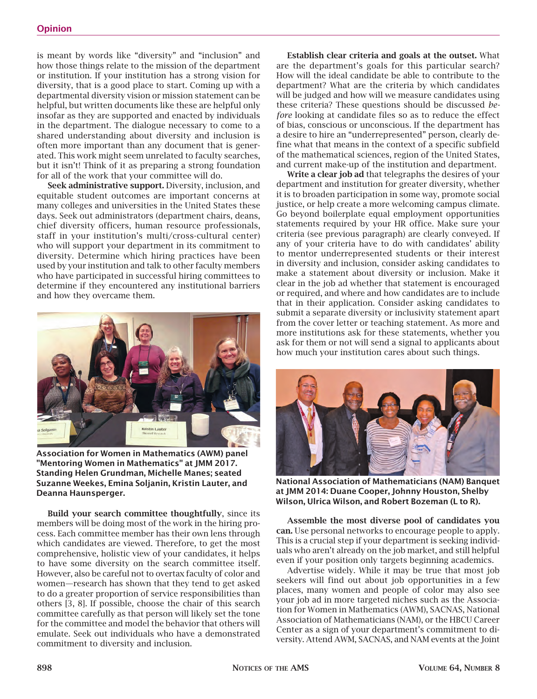is meant by words like "diversity" and "inclusion" and how those things relate to the mission of the department or institution. If your institution has a strong vision for diversity, that is a good place to start. Coming up with a departmental diversity vision or mission statement can be helpful, but written documents like these are helpful only insofar as they are supported and enacted by individuals in the department. The dialogue necessary to come to a shared understanding about diversity and inclusion is often more important than any document that is generated. This work might seem unrelated to faculty searches, but it isn't! Think of it as preparing a strong foundation for all of the work that your committee will do.

Seek administrative support. Diversity, inclusion, and equitable student outcomes are important concerns at many colleges and universities in the United States these days. Seek out administrators (department chairs, deans, chief diversity officers, human resource professionals, staff in your institution's multi/cross-cultural center) who will support your department in its commitment to diversity. Determine which hiring practices have been used by your institution and talk to other faculty members who have participated in successful hiring committees to determine if they encountered any institutional barriers and how they overcame them.



Association for Women in Mathematics (AWM) panel "Mentoring Women in Mathematics" at JMM 2017. Standing Helen Grundman, Michelle Manes; seated Suzanne Weekes, Emina Soljanin, Kristin Lauter, and Deanna Haunsperger.

Build your search committee thoughtfully, since its members will be doing most of the work in the hiring process. Each committee member has their own lens through which candidates are viewed. Therefore, to get the most comprehensive, holistic view of your candidates, it helps to have some diversity on the search committee itself. However, also be careful not to overtax faculty of color and women—research has shown that they tend to get asked to do a greater proportion of service responsibilities than others [3, 8]. If possible, choose the chair of this search committee carefully as that person will likely set the tone for the committee and model the behavior that others will emulate. Seek out individuals who have a demonstrated commitment to diversity and inclusion.

Establish clear criteria and goals at the outset. What are the department's goals for this particular search? How will the ideal candidate be able to contribute to the department? What are the criteria by which candidates will be judged and how will we measure candidates using these criteria? These questions should be discussed *before* looking at candidate files so as to reduce the effect of bias, conscious or unconscious. If the department has a desire to hire an "underrepresented" person, clearly define what that means in the context of a specific subfield of the mathematical sciences, region of the United States, and current make-up of the institution and department.

Write a clear job ad that telegraphs the desires of your department and institution for greater diversity, whether it is to broaden participation in some way, promote social justice, or help create a more welcoming campus climate. Go beyond boilerplate equal employment opportunities statements required by your HR office. Make sure your criteria (see previous paragraph) are clearly conveyed. If any of your criteria have to do with candidates' ability to mentor underrepresented students or their interest in diversity and inclusion, consider asking candidates to make a statement about diversity or inclusion. Make it clear in the job ad whether that statement is encouraged or required, and where and how candidates are to include that in their application. Consider asking candidates to submit a separate diversity or inclusivity statement apart from the cover letter or teaching statement. As more and more institutions ask for these statements, whether you ask for them or not will send a signal to applicants about how much your institution cares about such things.



National Association of Mathematicians (NAM) Banquet at JMM 2014: Duane Cooper, Johnny Houston, Shelby Wilson, Ulrica Wilson, and Robert Bozeman (L to R).

Assemble the most diverse pool of candidates you can. Use personal networks to encourage people to apply. This is a crucial step if your department is seeking individuals who aren't already on the job market, and still helpful even if your position only targets beginning academics.

Advertise widely. While it may be true that most job seekers will find out about job opportunities in a few places, many women and people of color may also see your job ad in more targeted niches such as the Association for Women in Mathematics (AWM), SACNAS, National Association of Mathematicians (NAM), or the HBCU Career Center as a sign of your department's commitment to diversity. Attend AWM, SACNAS, and NAM events at the Joint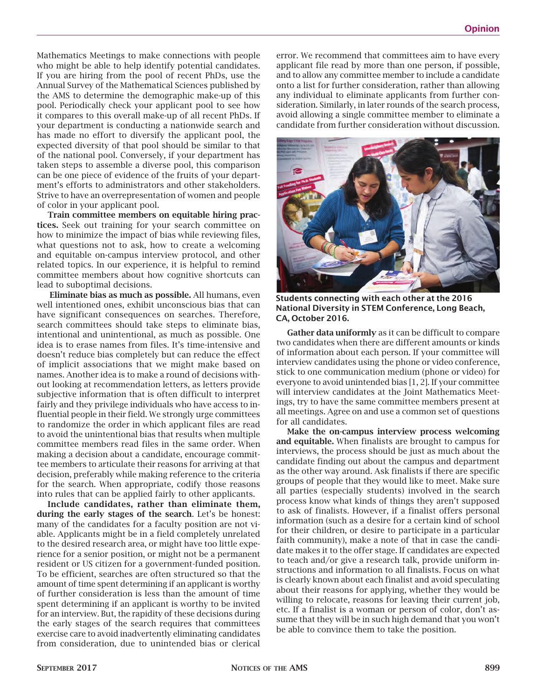Mathematics Meetings to make connections with people who might be able to help identify potential candidates. If you are hiring from the pool of recent PhDs, use the Annual Survey of the Mathematical Sciences published by the AMS to determine the demographic make-up of this pool. Periodically check your applicant pool to see how it compares to this overall make-up of all recent PhDs. If your department is conducting a nationwide search and has made no effort to diversify the applicant pool, the expected diversity of that pool should be similar to that of the national pool. Conversely, if your department has taken steps to assemble a diverse pool, this comparison can be one piece of evidence of the fruits of your department's efforts to administrators and other stakeholders. Strive to have an overrepresentation of women and people of color in your applicant pool.

Train committee members on equitable hiring practices. Seek out training for your search committee on how to minimize the impact of bias while reviewing files, what questions not to ask, how to create a welcoming and equitable on-campus interview protocol, and other related topics. In our experience, it is helpful to remind committee members about how cognitive shortcuts can lead to suboptimal decisions.

Eliminate bias as much as possible. All humans, even well intentioned ones, exhibit unconscious bias that can have significant consequences on searches. Therefore, search committees should take steps to eliminate bias, intentional and unintentional, as much as possible. One idea is to erase names from files. It's time-intensive and doesn't reduce bias completely but can reduce the effect of implicit associations that we might make based on names. Another idea is to make a round of decisions without looking at recommendation letters, as letters provide subjective information that is often difficult to interpret fairly and they privilege individuals who have access to influential people in their field. We strongly urge committees to randomize the order in which applicant files are read to avoid the unintentional bias that results when multiple committee members read files in the same order. When making a decision about a candidate, encourage committee members to articulate their reasons for arriving at that decision, preferably while making reference to the criteria for the search. When appropriate, codify those reasons into rules that can be applied fairly to other applicants.

Include candidates, rather than eliminate them, during the early stages of the search. Let's be honest: many of the candidates for a faculty position are not viable. Applicants might be in a field completely unrelated to the desired research area, or might have too little experience for a senior position, or might not be a permanent resident or US citizen for a government-funded position. To be efficient, searches are often structured so that the amount of time spent determining if an applicant is worthy of further consideration is less than the amount of time spent determining if an applicant is worthy to be invited for an interview. But, the rapidity of these decisions during the early stages of the search requires that committees exercise care to avoid inadvertently eliminating candidates from consideration, due to unintended bias or clerical

error. We recommend that committees aim to have every applicant file read by more than one person, if possible, and to allow any committee member to include a candidate onto a list for further consideration, rather than allowing any individual to eliminate applicants from further consideration. Similarly, in later rounds of the search process, avoid allowing a single committee member to eliminate a candidate from further consideration without discussion.



Students connecting with each other at the 2016 National Diversity in STEM Conference, Long Beach, CA, October 2016.

Gather data uniformly as it can be difficult to compare two candidates when there are different amounts or kinds of information about each person. If your committee will interview candidates using the phone or video conference, stick to one communication medium (phone or video) for everyone to avoid unintended bias [1, 2]. If your committee will interview candidates at the Joint Mathematics Meetings, try to have the same committee members present at all meetings. Agree on and use a common set of questions for all candidates.

Make the on-campus interview process welcoming and equitable. When finalists are brought to campus for interviews, the process should be just as much about the candidate finding out about the campus and department as the other way around. Ask finalists if there are specific groups of people that they would like to meet. Make sure all parties (especially students) involved in the search process know what kinds of things they aren't supposed to ask of finalists. However, if a finalist offers personal information (such as a desire for a certain kind of school for their children, or desire to participate in a particular faith community), make a note of that in case the candidate makes it to the offer stage. If candidates are expected to teach and/or give a research talk, provide uniform instructions and information to all finalists. Focus on what is clearly known about each finalist and avoid speculating about their reasons for applying, whether they would be willing to relocate, reasons for leaving their current job, etc. If a finalist is a woman or person of color, don't assume that they will be in such high demand that you won't be able to convince them to take the position.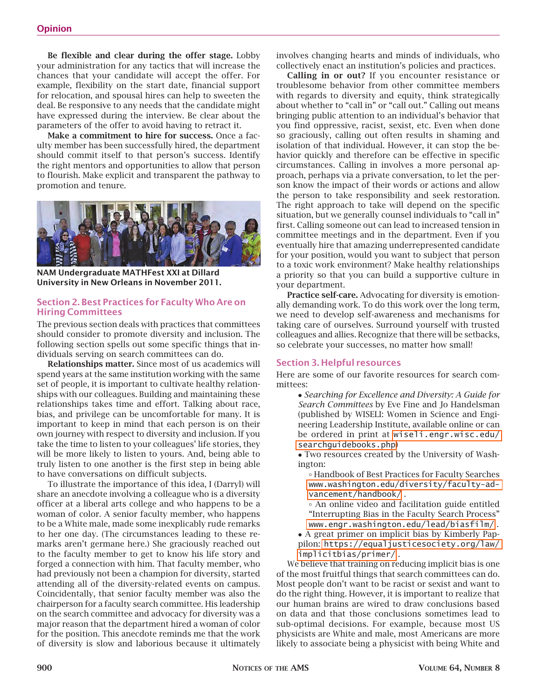Be flexible and clear during the offer stage. Lobby your administration for any tactics that will increase the chances that your candidate will accept the offer. For example, flexibility on the start date, financial support for relocation, and spousal hires can help to sweeten the deal. Be responsive to any needs that the candidate might have expressed during the interview. Be clear about the parameters of the offer to avoid having to retract it.

Make a commitment to hire for success. Once a faculty member has been successfully hired, the department should commit itself to that person's success. Identify the right mentors and opportunities to allow that person to flourish. Make explicit and transparent the pathway to promotion and tenure.



NAM Undergraduate MATHFest XXI at Dillard University in New Orleans in November 2011.

## Section 2. Best Practices for Faculty Who Are on Hiring Committees

The previous section deals with practices that committees should consider to promote diversity and inclusion. The following section spells out some specific things that individuals serving on search committees can do.

Relationships matter. Since most of us academics will spend years at the same institution working with the same set of people, it is important to cultivate healthy relationships with our colleagues. Building and maintaining these relationships takes time and effort. Talking about race, bias, and privilege can be uncomfortable for many. It is important to keep in mind that each person is on their own journey with respect to diversity and inclusion. If you take the time to listen to your colleagues' life stories, they will be more likely to listen to yours. And, being able to truly listen to one another is the first step in being able to have conversations on difficult subjects.

To illustrate the importance of this idea, I (Darryl) will share an anecdote involving a colleague who is a diversity officer at a liberal arts college and who happens to be a woman of color. A senior faculty member, who happens to be a White male, made some inexplicably rude remarks to her one day. (The circumstances leading to these remarks aren't germane here.) She graciously reached out to the faculty member to get to know his life story and forged a connection with him. That faculty member, who had previously not been a champion for diversity, started attending all of the diversity-related events on campus. Coincidentally, that senior faculty member was also the chairperson for a faculty search committee. His leadership on the search committee and advocacy for diversity was a major reason that the department hired a woman of color for the position. This anecdote reminds me that the work of diversity is slow and laborious because it ultimately

involves changing hearts and minds of individuals, who collectively enact an institution's policies and practices.

Calling in or out? If you encounter resistance or troublesome behavior from other committee members with regards to diversity and equity, think strategically about whether to "call in" or "call out." Calling out means bringing public attention to an individual's behavior that you find oppressive, racist, sexist, etc. Even when done so graciously, calling out often results in shaming and isolation of that individual. However, it can stop the behavior quickly and therefore can be effective in specific circumstances. Calling in involves a more personal approach, perhaps via a private conversation, to let the person know the impact of their words or actions and allow the person to take responsibility and seek restoration. The right approach to take will depend on the specific situation, but we generally counsel individuals to "call in" first. Calling someone out can lead to increased tension in committee meetings and in the department. Even if you eventually hire that amazing underrepresented candidate for your position, would you want to subject that person to a toxic work environment? Make healthy relationships a priority so that you can build a supportive culture in your department.

Practice self-care. Advocating for diversity is emotionally demanding work. To do this work over the long term, we need to develop self-awareness and mechanisms for taking care of ourselves. Surround yourself with trusted colleagues and allies. Recognize that there will be setbacks, so celebrate your successes, no matter how small!

## Section 3. Helpful resources

Here are some of our favorite resources for search committees:

• *Searching for Excellence and Diversity: A Guide for Search Committees* by Eve Fine and Jo Handelsman (published by WISELI: Women in Science and Engineering Leadership Institute, available online or can be ordered in print at [wiseli.engr.wisc.edu/](http://wiseli.engr.wisc.edu/searchguidebooks.php) [searchguidebooks.php](http://wiseli.engr.wisc.edu/searchguidebooks.php))

• Two resources created by the University of Washington:

° Handbook of Best Practices for Faculty Searches [www.washington.edu/diversity/faculty-ad](http://www.washington.edu/diversity/faculty-advancement/handbook/)[vancement/handbook/](http://www.washington.edu/diversity/faculty-advancement/handbook/) .

° An online video and facilitation guide entitled "Interrupting Bias in the Faculty Search Process" [www.engr.washington.edu/lead/biasfilm/](http://www.engr.washington.edu/lead/biasfilm/) .

• A great primer on implicit bias by Kimberly Pappilon: [https://equaljusticesociety.org/law/](https://equaljusticesociety.org/law/implicitbias/primer/) [implicitbias/primer/](https://equaljusticesociety.org/law/implicitbias/primer/) .

We believe that training on reducing implicit bias is one of the most fruitful things that search committees can do. Most people don't want to be racist or sexist and want to do the right thing. However, it is important to realize that our human brains are wired to draw conclusions based on data and that those conclusions sometimes lead to sub-optimal decisions. For example, because most US physicists are White and male, most Americans are more likely to associate being a physicist with being White and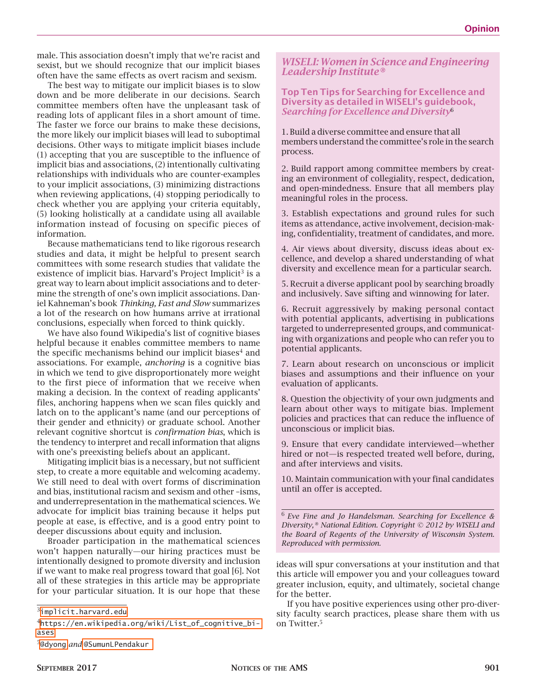male. This association doesn't imply that we're racist and sexist, but we should recognize that our implicit biases often have the same effects as overt racism and sexism.

The best way to mitigate our implicit biases is to slow down and be more deliberate in our decisions. Search committee members often have the unpleasant task of reading lots of applicant files in a short amount of time. The faster we force our brains to make these decisions, the more likely our implicit biases will lead to suboptimal decisions. Other ways to mitigate implicit biases include (1) accepting that you are susceptible to the influence of implicit bias and associations, (2) intentionally cultivating relationships with individuals who are counter-examples to your implicit associations, (3) minimizing distractions when reviewing applications, (4) stopping periodically to check whether you are applying your criteria equitably, (5) looking holistically at a candidate using all available information instead of focusing on specific pieces of information.

Because mathematicians tend to like rigorous research studies and data, it might be helpful to present search committees with some research studies that validate the existence of implicit bias. Harvard's Project Implicit<sup>3</sup> is a great way to learn about implicit associations and to determine the strength of one's own implicit associations. Daniel Kahneman's book *Thinking, Fast and Slow* summarizes a lot of the research on how humans arrive at irrational conclusions, especially when forced to think quickly.

We have also found Wikipedia's list of cognitive biases helpful because it enables committee members to name the specific mechanisms behind our implicit biases $4$  and associations. For example, *anchoring* is a cognitive bias in which we tend to give disproportionately more weight to the first piece of information that we receive when making a decision. In the context of reading applicants' files, anchoring happens when we scan files quickly and latch on to the applicant's name (and our perceptions of their gender and ethnicity) or graduate school. Another relevant cognitive shortcut is *confirmation bias*, which is the tendency to interpret and recall information that aligns with one's preexisting beliefs about an applicant.

Mitigating implicit bias is a necessary, but not sufficient step, to create a more equitable and welcoming academy. We still need to deal with overt forms of discrimination and bias, institutional racism and sexism and other –isms, and underrepresentation in the mathematical sciences. We advocate for implicit bias training because it helps put people at ease, is effective, and is a good entry point to deeper discussions about equity and inclusion.

Broader participation in the mathematical sciences won't happen naturally—our hiring practices must be intentionally designed to promote diversity and inclusion if we want to make real progress toward that goal [6]. Not all of these strategies in this article may be appropriate for your particular situation. It is our hope that these

## *WISELI: Women in Science and Engineering Leadership Institute®*

## Top Ten Tips for Searching for Excellence and Diversity as detailed in WISELI's guidebook, *Searching for Excellence and Diversity*<sup>6</sup>

1. Build a diverse committee and ensure that all members understand the committee's role in the search process.

2. Build rapport among committee members by creating an environment of collegiality, respect, dedication, and open-mindedness. Ensure that all members play meaningful roles in the process.

3. Establish expectations and ground rules for such items as attendance, active involvement, decision-making, confidentiality, treatment of candidates, and more.

4. Air views about diversity, discuss ideas about excellence, and develop a shared understanding of what diversity and excellence mean for a particular search.

5. Recruit a diverse applicant pool by searching broadly and inclusively. Save sifting and winnowing for later.

6. Recruit aggressively by making personal contact with potential applicants, advertising in publications targeted to underrepresented groups, and communicating with organizations and people who can refer you to potential applicants.

7. Learn about research on unconscious or implicit biases and assumptions and their influence on your evaluation of applicants.

8. Question the objectivity of your own judgments and learn about other ways to mitigate bias. Implement policies and practices that can reduce the influence of unconscious or implicit bias.

9. Ensure that every candidate interviewed—whether hired or not—is respected treated well before, during, and after interviews and visits.

10. Maintain communication with your final candidates until an offer is accepted.

<sup>6</sup>*Eve Fine and Jo Handelsman. Searching for Excellence & Diversity,® National Edition. Copyright © 2012 by WISELI and the Board of Regents of the University of Wisconsin System. Reproduced with permission.*

ideas will spur conversations at your institution and that this article will empower you and your colleagues toward greater inclusion, equity, and ultimately, societal change for the better.

If you have positive experiences using other pro-diversity faculty search practices, please share them with us on Twitter.<sup>5</sup>

<sup>3</sup>[implicit.harvard.edu](http://implicit.harvard.edu)

<sup>4</sup>[https://en.wikipedia.org/wiki/List\\_of\\_cognitive\\_bi](https://en.wikipedia.org/wiki/List_of_cognitive_biases)[ases](https://en.wikipedia.org/wiki/List_of_cognitive_biases)

<sup>5</sup>[@dyong](http://www.twitter.com/dyong) *and* [@SumunLPendakur](http://www.twitter.com/SumunLPendakur)